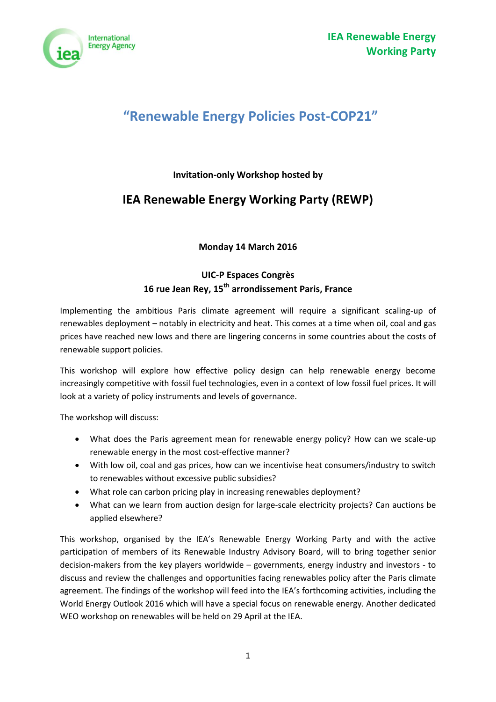

# **"Renewable Energy Policies Post-COP21"**

## **Invitation-only Workshop hosted by**

## **IEA Renewable Energy Working Party (REWP)**

**Monday 14 March 2016**

## **UIC-P Espaces Congrès 16 rue Jean Rey, 15th arrondissement Paris, France**

Implementing the ambitious Paris climate agreement will require a significant scaling-up of renewables deployment – notably in electricity and heat. This comes at a time when oil, coal and gas prices have reached new lows and there are lingering concerns in some countries about the costs of renewable support policies.

This workshop will explore how effective policy design can help renewable energy become increasingly competitive with fossil fuel technologies, even in a context of low fossil fuel prices. It will look at a variety of policy instruments and levels of governance.

The workshop will discuss:

- What does the Paris agreement mean for renewable energy policy? How can we scale-up renewable energy in the most cost-effective manner?
- With low oil, coal and gas prices, how can we incentivise heat consumers/industry to switch to renewables without excessive public subsidies?
- What role can carbon pricing play in increasing renewables deployment?
- What can we learn from auction design for large-scale electricity projects? Can auctions be applied elsewhere?

This workshop, organised by the IEA's Renewable Energy Working Party and with the active participation of members of its Renewable Industry Advisory Board, will to bring together senior decision-makers from the key players worldwide – governments, energy industry and investors - to discuss and review the challenges and opportunities facing renewables policy after the Paris climate agreement. The findings of the workshop will feed into the IEA's forthcoming activities, including the World Energy Outlook 2016 which will have a special focus on renewable energy. Another dedicated WEO workshop on renewables will be held on 29 April at the IEA.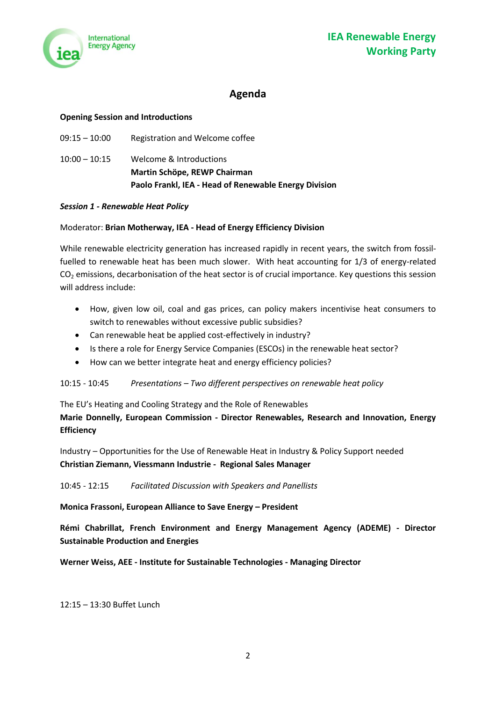

## **Agenda**

#### **Opening Session and Introductions**

|                 | Paolo Frankl, IEA - Head of Renewable Energy Division |
|-----------------|-------------------------------------------------------|
|                 | Martin Schöpe, REWP Chairman                          |
| $10:00 - 10:15$ | Welcome & Introductions                               |
| $09:15 - 10:00$ | Registration and Welcome coffee                       |

#### *Session 1 - Renewable Heat Policy*

#### Moderator: **Brian Motherway, IEA - Head of Energy Efficiency Division**

While renewable electricity generation has increased rapidly in recent years, the switch from fossilfuelled to renewable heat has been much slower. With heat accounting for 1/3 of energy-related CO<sup>2</sup> emissions, decarbonisation of the heat sector is of crucial importance. Key questions this session will address include:

- How, given low oil, coal and gas prices, can policy makers incentivise heat consumers to switch to renewables without excessive public subsidies?
- Can renewable heat be applied cost-effectively in industry?
- Is there a role for Energy Service Companies (ESCOs) in the renewable heat sector?
- How can we better integrate heat and energy efficiency policies?

#### 10:15 - 10:45 *Presentations – Two different perspectives on renewable heat policy*

The EU's Heating and Cooling Strategy and the Role of Renewables **Marie Donnelly, European Commission - Director Renewables, Research and Innovation, Energy Efficiency**

Industry – Opportunities for the Use of Renewable Heat in Industry & Policy Support needed **Christian Ziemann, Viessmann Industrie - Regional Sales Manager**

#### 10:45 - 12:15 *Facilitated Discussion with Speakers and Panellists*

**Monica Frassoni, European Alliance to Save Energy – President**

**Rémi Chabrillat, French Environment and Energy Management Agency (ADEME) - Director Sustainable Production and Energies**

**Werner Weiss, AEE - Institute for Sustainable Technologies - Managing Director**

12:15 – 13:30 Buffet Lunch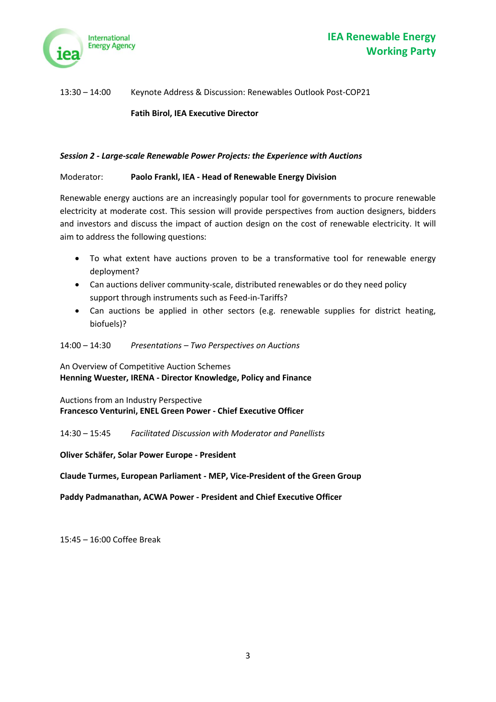

### 13:30 – 14:00 Keynote Address & Discussion: Renewables Outlook Post-COP21

**Fatih Birol, IEA Executive Director**

#### *Session 2 - Large-scale Renewable Power Projects: the Experience with Auctions*

#### Moderator: **Paolo Frankl, IEA - Head of Renewable Energy Division**

Renewable energy auctions are an increasingly popular tool for governments to procure renewable electricity at moderate cost. This session will provide perspectives from auction designers, bidders and investors and discuss the impact of auction design on the cost of renewable electricity. It will aim to address the following questions:

- To what extent have auctions proven to be a transformative tool for renewable energy deployment?
- Can auctions deliver community-scale, distributed renewables or do they need policy support through instruments such as Feed-in-Tariffs?
- Can auctions be applied in other sectors (e.g. renewable supplies for district heating, biofuels)?

#### 14:00 – 14:30 *Presentations – Two Perspectives on Auctions*

An Overview of Competitive Auction Schemes **Henning Wuester, IRENA - Director Knowledge, Policy and Finance**

Auctions from an Industry Perspective **Francesco Venturini, ENEL Green Power - Chief Executive Officer**

14:30 – 15:45 *Facilitated Discussion with Moderator and Panellists*

**Oliver Schäfer, Solar Power Europe - President**

**Claude Turmes, European Parliament - MEP, Vice-President of the Green Group**

**Paddy Padmanathan, ACWA Power - President and Chief Executive Officer**

15:45 – 16:00 Coffee Break